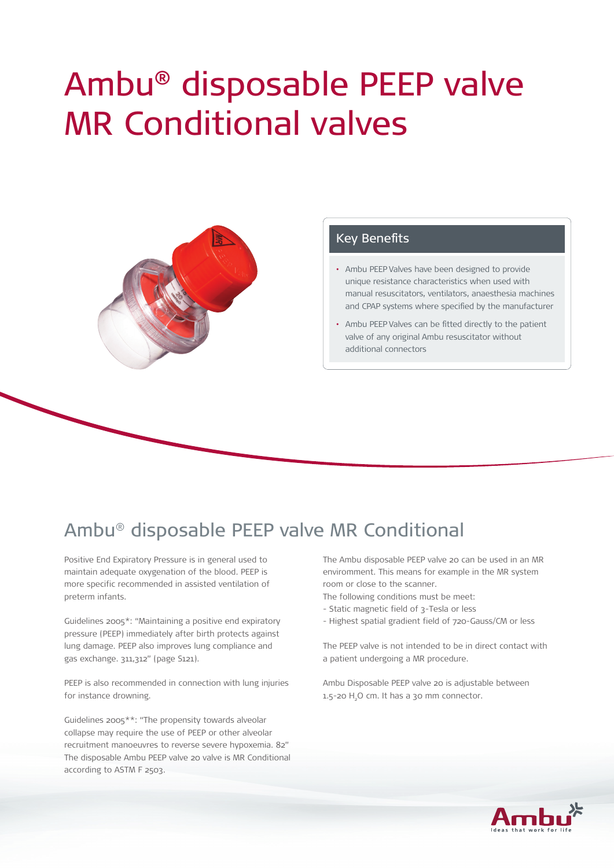# Ambu® disposable PEEP valve MR Conditional valves



#### Key Benefits

- Ambu PEEP Valves have been designed to provide unique resistance characteristics when used with manual resuscitators, ventilators, anaesthesia machines and CPAP systems where specified by the manufacturer
- Ambu PEEP Valves can be fitted directly to the patient valve of any original Ambu resuscitator without additional connectors

## Ambu® disposable PEEP valve MR Conditional

Positive End Expiratory Pressure is in general used to maintain adequate oxygenation of the blood. PEEP is more specific recommended in assisted ventilation of preterm infants.

Guidelines 2005\*: "Maintaining a positive end expiratory pressure (PEEP) immediately after birth protects against lung damage. PEEP also improves lung compliance and gas exchange. 311,312" (page S121).

PEEP is also recommended in connection with lung injuries for instance drowning.

Guidelines 2005\*\*: "The propensity towards alveolar collapse may require the use of PEEP or other alveolar recruitment manoeuvres to reverse severe hypoxemia. 82" The disposable Ambu PEEP valve 20 valve is MR Conditional according to ASTM F 2503.

The Ambu disposable PEEP valve 20 can be used in an MR enviromment. This means for example in the MR system room or close to the scanner.

- The following conditions must be meet:
- Static magnetic field of 3-Tesla or less
- Highest spatial gradient field of 720-Gauss/CM or less

The PEEP valve is not intended to be in direct contact with a patient undergoing a MR procedure.

Ambu Disposable PEEP valve 20 is adjustable between  $1.5$ -20  $H<sub>2</sub>O$  cm. It has a 30 mm connector.